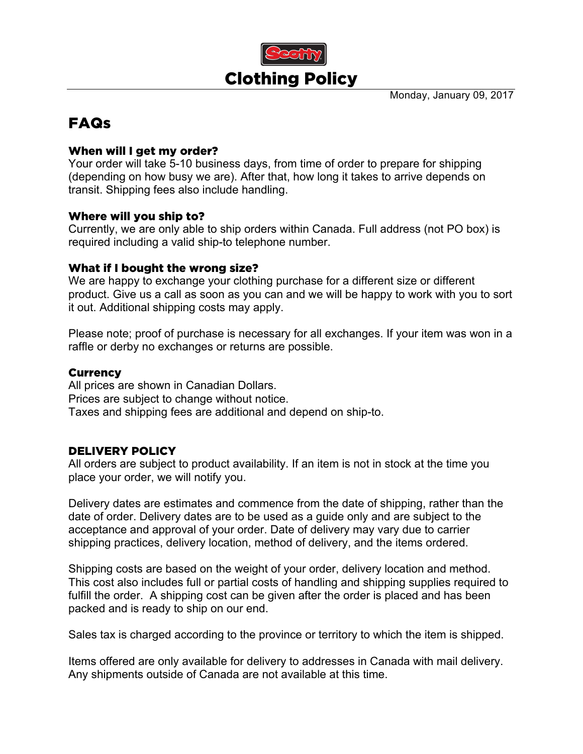

Monday, January 09, 2017

# FAQs

## When will I get my order?

Your order will take 5-10 business days, from time of order to prepare for shipping (depending on how busy we are). After that, how long it takes to arrive depends on transit. Shipping fees also include handling.

#### Where will you ship to?

Currently, we are only able to ship orders within Canada. Full address (not PO box) is required including a valid ship-to telephone number.

#### What if I bought the wrong size?

We are happy to exchange your clothing purchase for a different size or different product. Give us a call as soon as you can and we will be happy to work with you to sort it out. Additional shipping costs may apply.

Please note; proof of purchase is necessary for all exchanges. If your item was won in a raffle or derby no exchanges or returns are possible.

## **Currency**

All prices are shown in Canadian Dollars. Prices are subject to change without notice. Taxes and shipping fees are additional and depend on ship-to.

# DELIVERY POLICY

All orders are subject to product availability. If an item is not in stock at the time you place your order, we will notify you.

Delivery dates are estimates and commence from the date of shipping, rather than the date of order. Delivery dates are to be used as a guide only and are subject to the acceptance and approval of your order. Date of delivery may vary due to carrier shipping practices, delivery location, method of delivery, and the items ordered.

Shipping costs are based on the weight of your order, delivery location and method. This cost also includes full or partial costs of handling and shipping supplies required to fulfill the order. A shipping cost can be given after the order is placed and has been packed and is ready to ship on our end.

Sales tax is charged according to the province or territory to which the item is shipped.

Items offered are only available for delivery to addresses in Canada with mail delivery. Any shipments outside of Canada are not available at this time.